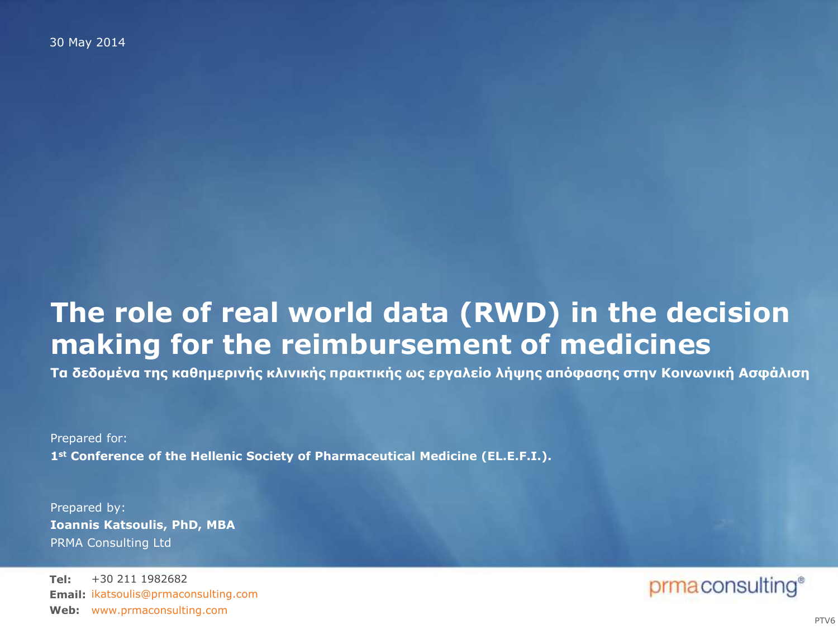30 May 2014

## **The role of real world data (RWD) in the decision making for the reimbursement of medicines**

Τα δεδομένα της καθημερινής κλινικής πρακτικής ως εργαλείο λήψης απόφασης στην Κοινωνική Ασφάλιση

Prepared for: **1st Conference of the Hellenic Society of Pharmaceutical Medicine (EL.E.F.I.).**

Prepared by: PRMA Consulting Ltd **Ioannis Katsoulis, PhD, MBA**

**Tel: Email:** ikatsoulis@prmaconsulting.com Web: [www.prmaconsulting.com](http://www.prmaconsulting.com) +30 211 1982682

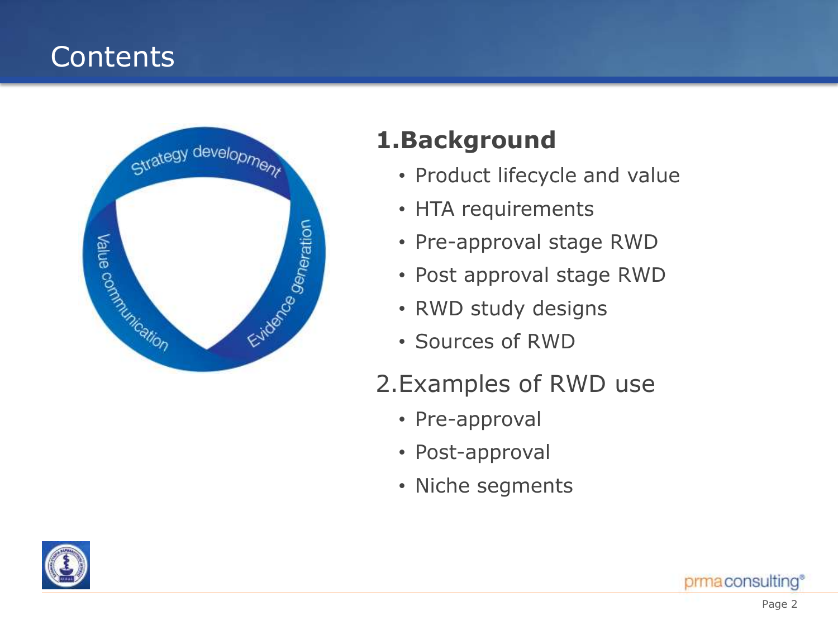# **Contents**



## **1.Background**

- Product lifecycle and value
- HTA requirements
- Pre-approval stage RWD
- Post approval stage RWD
- RWD study designs
- Sources of RWD

## 2.Examples of RWD use

- Pre-approval
- Post-approval
- Niche segments

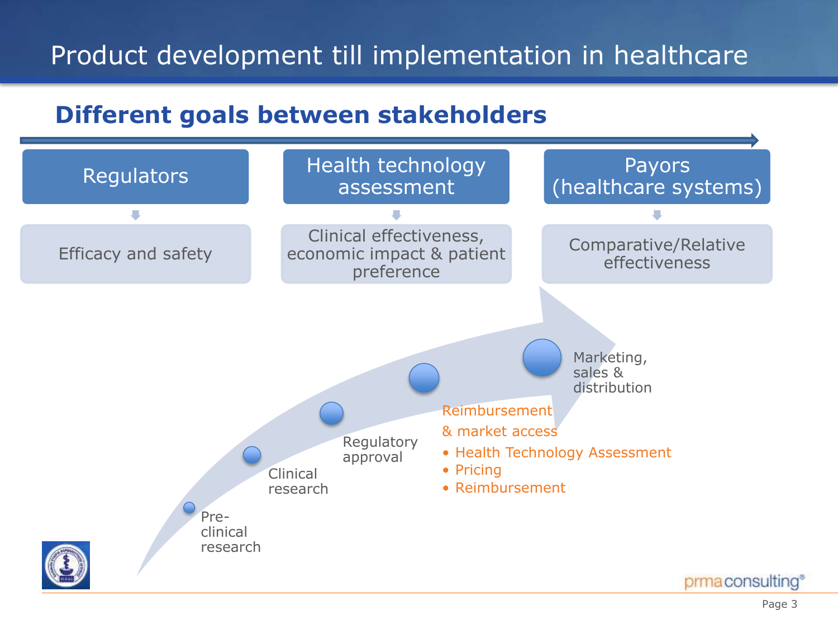# Product development till implementation in healthcare

### **Different goals between stakeholders**

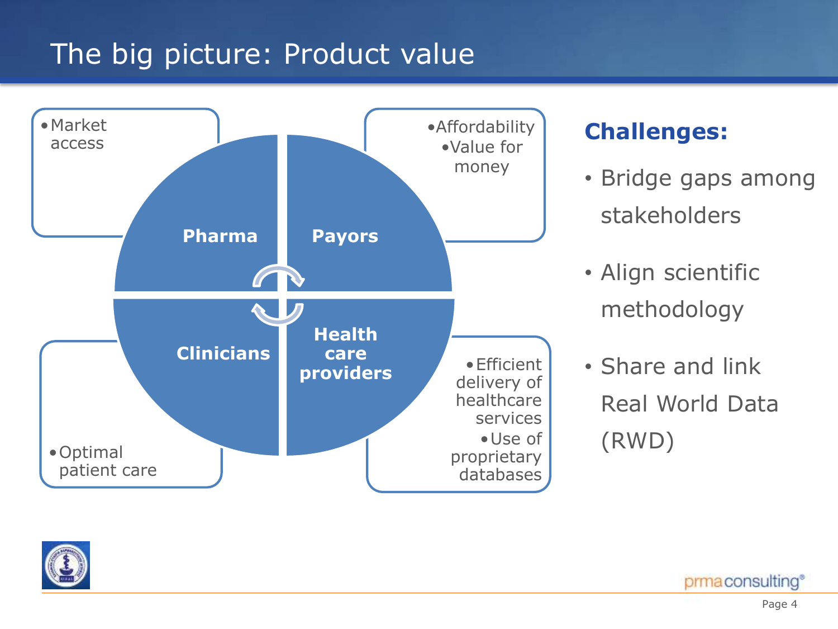# The big picture: Product value



#### **Challenges:**

- Bridge gaps among stakeholders
- Align scientific methodology
- Share and link Real World Data (RWD)



prmaconsulting®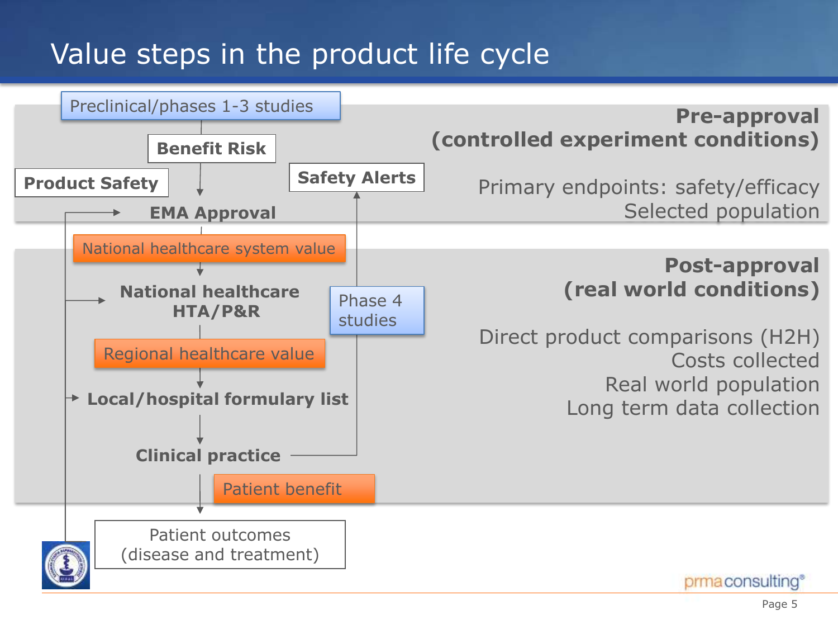# Value steps in the product life cycle

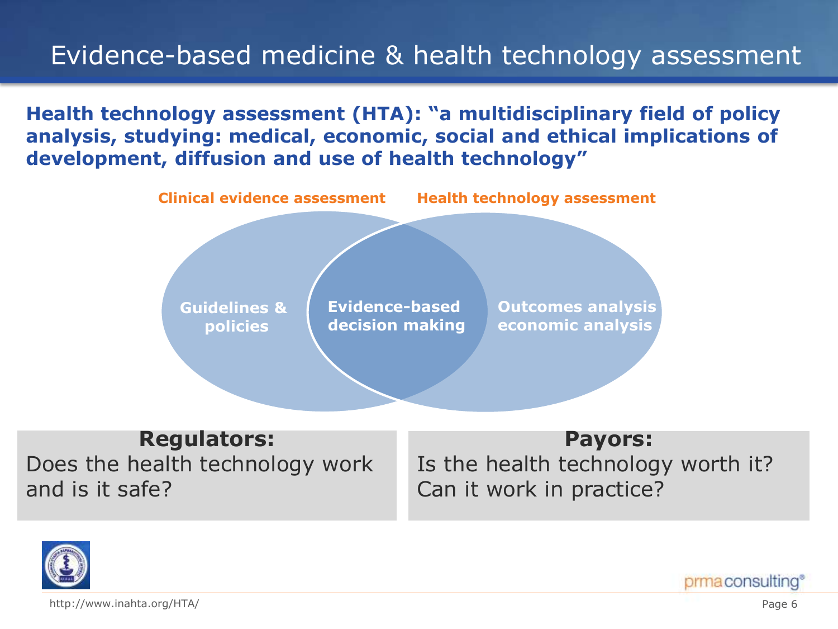## Evidence-based medicine & health technology assessment

**Health technology assessment (HTA): "a multidisciplinary field of policy analysis, studying: medical, economic, social and ethical implications of development, diffusion and use of health technology"**



#### **Regulators:**

Does the health technology work and is it safe?

#### **Payors:**

Is the health technology worth it? Can it work in practice?



http://www.inahta.org/HTA/

prmaconsulting®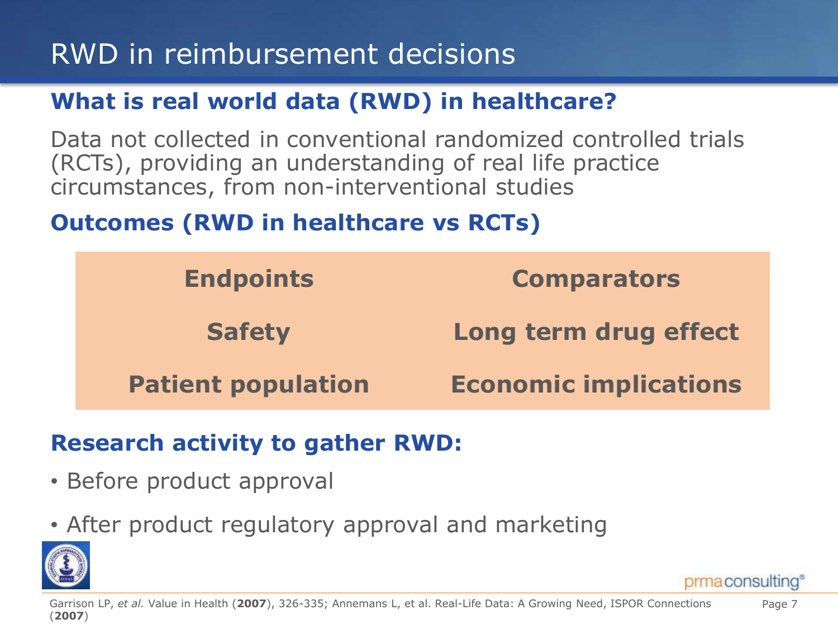# RWD in reimbursement decisions

### **What is real world data (RWD) in healthcare?**

Data not collected in conventional randomized controlled trials (RCTs), providing an understanding of real life practice circumstances, from non-interventional studies

### **Outcomes (RWD in healthcare vs RCTs)**

| <b>Endpoints</b>          | <b>Comparators</b>           |
|---------------------------|------------------------------|
| <b>Safety</b>             | Long term drug effect        |
| <b>Patient population</b> | <b>Economic implications</b> |

#### **Research activity to gather RWD:**

- Before product approval
- After product regulatory approval and marketing

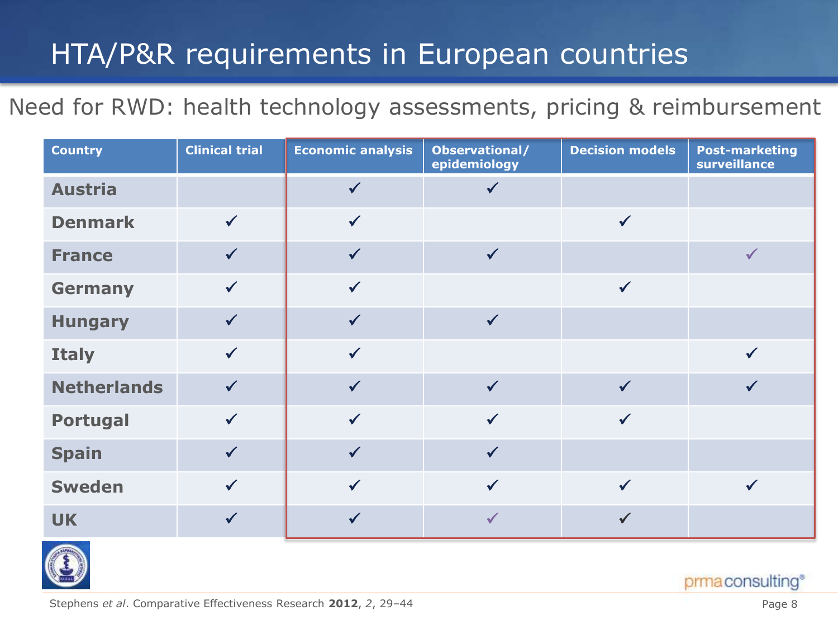# HTA/P&R requirements in European countries

### Need for RWD: health technology assessments, pricing & reimbursement

| <b>Country</b>     | <b>Clinical trial</b> | <b>Economic analysis</b> | Observational/<br>epidemiology | <b>Decision models</b> | <b>Post-marketing</b><br>surveillance |
|--------------------|-----------------------|--------------------------|--------------------------------|------------------------|---------------------------------------|
| <b>Austria</b>     |                       |                          |                                |                        |                                       |
| <b>Denmark</b>     | $\checkmark$          |                          |                                | $\checkmark$           |                                       |
| <b>France</b>      |                       |                          |                                |                        | $\checkmark$                          |
| <b>Germany</b>     | $\checkmark$          | $\checkmark$             |                                | $\checkmark$           |                                       |
| <b>Hungary</b>     | $\checkmark$          |                          | $\checkmark$                   |                        |                                       |
| <b>Italy</b>       | $\checkmark$          | $\checkmark$             |                                |                        | $\checkmark$                          |
| <b>Netherlands</b> | $\checkmark$          |                          | $\checkmark$                   | $\checkmark$           | $\checkmark$                          |
| <b>Portugal</b>    | $\checkmark$          | $\checkmark$             | $\checkmark$                   | $\checkmark$           |                                       |
| <b>Spain</b>       |                       |                          | $\checkmark$                   |                        |                                       |
| <b>Sweden</b>      | $\checkmark$          | $\checkmark$             | $\checkmark$                   | $\checkmark$           | $\checkmark$                          |
| <b>UK</b>          |                       |                          |                                |                        |                                       |



prmaconsulting®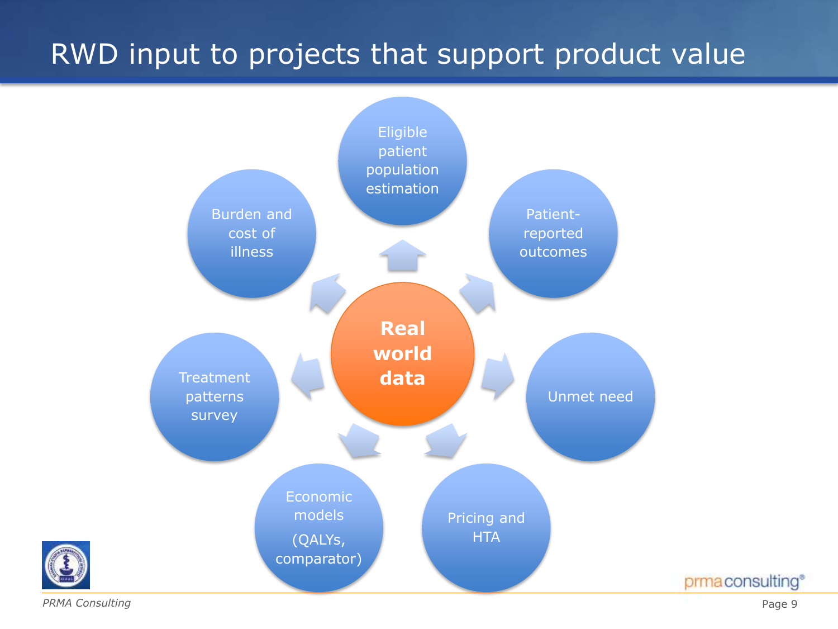# RWD input to projects that support product value



*PRMA Consulting*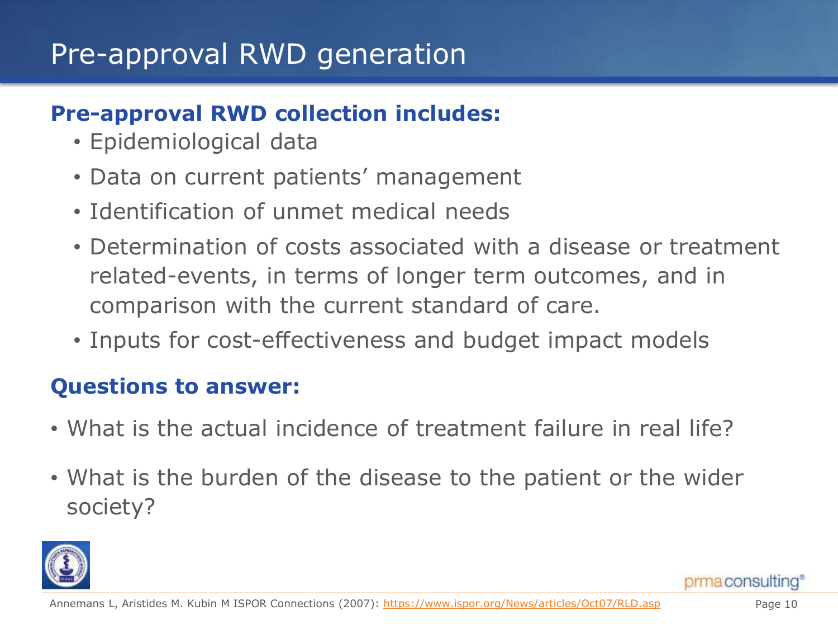# Pre-approval RWD generation

#### **Pre-approval RWD collection includes:**

- Epidemiological data
- Data on current patients' management
- Identification of unmet medical needs
- Determination of costs associated with a disease or treatment related-events, in terms of longer term outcomes, and in comparison with the current standard of care.
- Inputs for cost-effectiveness and budget impact models

### **Questions to answer:**

- What is the actual incidence of treatment failure in real life?
- What is the burden of the disease to the patient or the wider society?

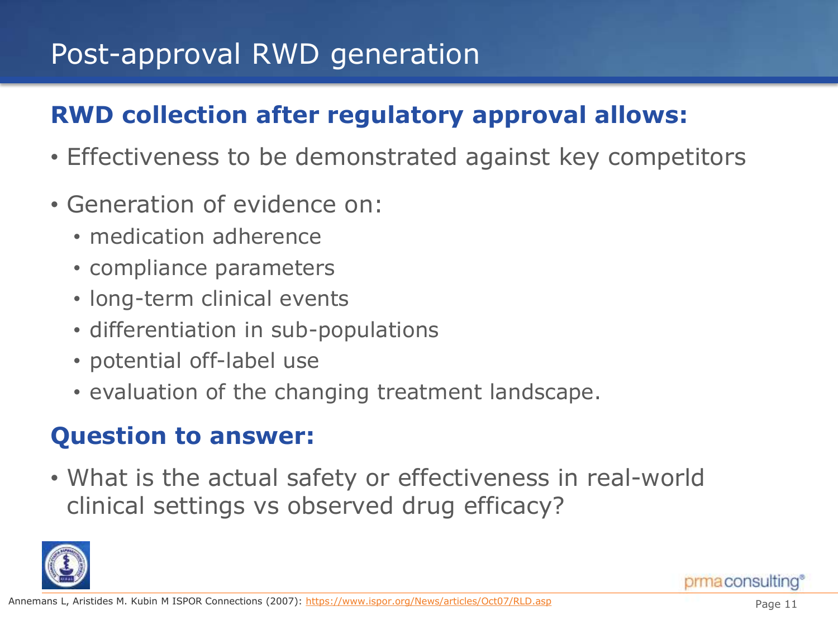# Post-approval RWD generation

## **RWD collection after regulatory approval allows:**

- Effectiveness to be demonstrated against key competitors
- Generation of evidence on:
	- medication adherence
	- compliance parameters
	- long-term clinical events
	- differentiation in sub-populations
	- potential off-label use
	- evaluation of the changing treatment landscape.

### **Question to answer:**

• What is the actual safety or effectiveness in real-world clinical settings vs observed drug efficacy?

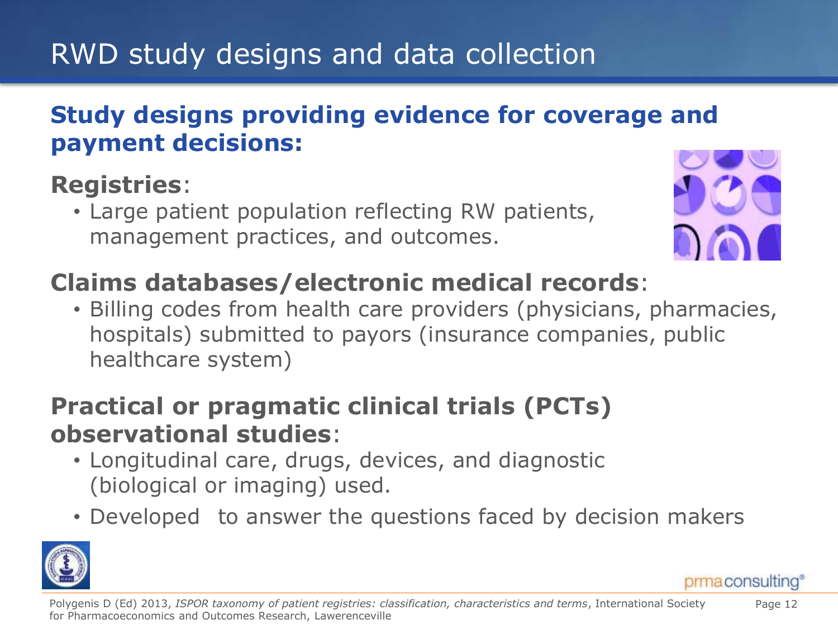# RWD study designs and data collection

### **Study designs providing evidence for coverage and payment decisions:**

## **Registries**:

• Large patient population reflecting RW patients, management practices, and outcomes.



# **Claims databases/electronic medical records**:

• Billing codes from health care providers (physicians, pharmacies, hospitals) submitted to payors (insurance companies, public healthcare system)

## **Practical or pragmatic clinical trials (PCTs) observational studies**:

- Longitudinal care, drugs, devices, and diagnostic (biological or imaging) used.
- Developed to answer the questions faced by decision makers



prma consulting

Page 12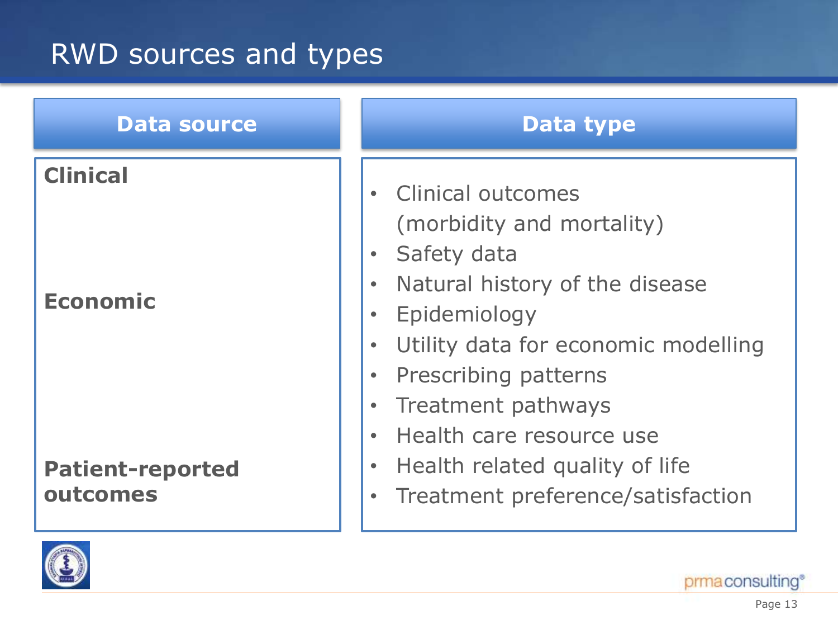# RWD sources and types





prma consulting®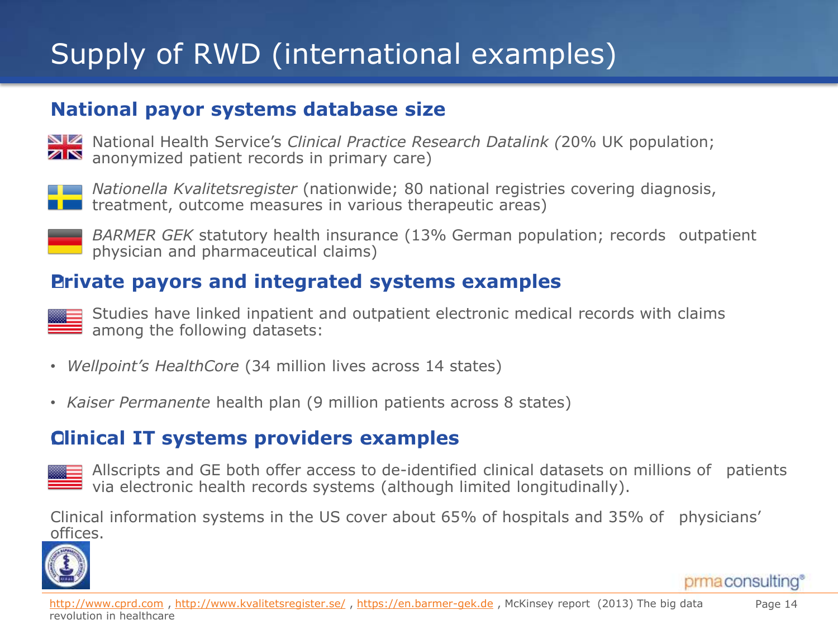# Supply of RWD (international examples)

#### **National payor systems database size**

National Health Service's *Clinical Practice Research Datalink (*20% UK population; anonymized patient records in primary care)



*Nationella Kvalitetsregister* (nationwide; 80 national registries covering diagnosis, treatment, outcome measures in various therapeutic areas)



*BARMER GEK* statutory health insurance (13% German population; records outpatient physician and pharmaceutical claims)

#### **Private payors and integrated systems examples**

Studies have linked inpatient and outpatient electronic medical records with claims  $\equiv$  among the following datasets:

- *Wellpoint's HealthCore* (34 million lives across 14 states)
- *Kaiser Permanente* health plan (9 million patients across 8 states)

#### **Clinical IT systems providers examples**

Allscripts and GE both offer access to de-identified clinical datasets on millions of patients via electronic health records systems (although limited longitudinally).

Clinical information systems in the US cover about 65% of hospitals and 35% of physicians' offices.



prma consulting®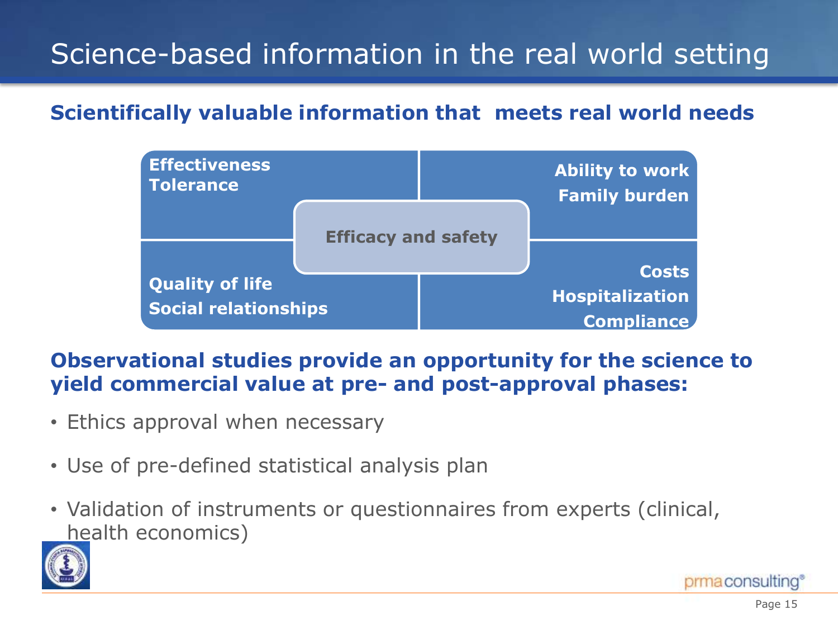# Science-based information in the real world setting

#### **Scientifically valuable information that meets real world needs**



#### **Observational studies provide an opportunity for the science to yield commercial value at pre- and post-approval phases:**

- Ethics approval when necessary
- Use of pre-defined statistical analysis plan
- Validation of instruments or questionnaires from experts (clinical, health economics)

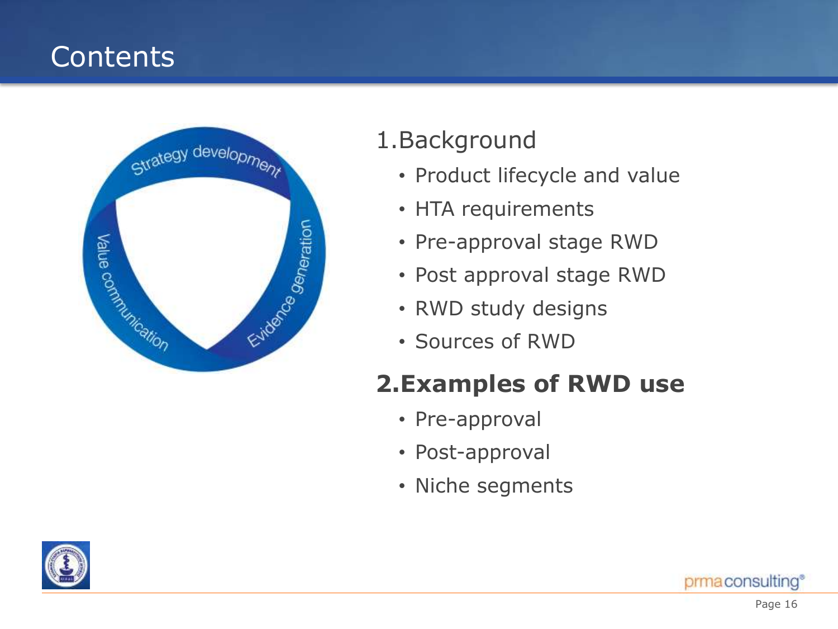# **Contents**



## 1.Background

- Product lifecycle and value
- HTA requirements
- Pre-approval stage RWD
- Post approval stage RWD
- RWD study designs
- Sources of RWD

## **2.Examples of RWD use**

- Pre-approval
- Post-approval
- Niche segments

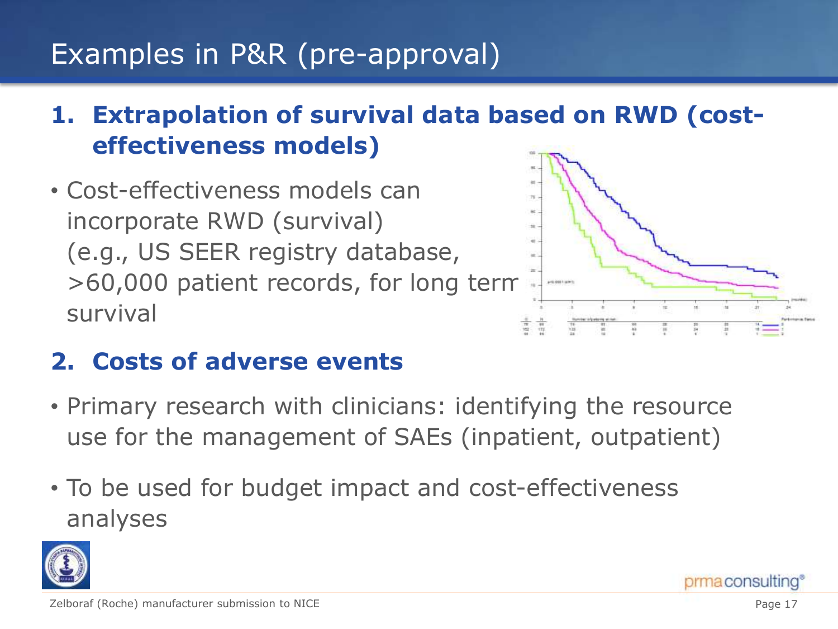# Examples in P&R (pre-approval)

## **1. Extrapolation of survival data based on RWD (costeffectiveness models)**

• Cost-effectiveness models can incorporate RWD (survival) (e.g., US SEER registry database, >60,000 patient records, for long term survival



## **2. Costs of adverse events**

- Primary research with clinicians: identifying the resource use for the management of SAEs (inpatient, outpatient)
- To be used for budget impact and cost-effectiveness analyses

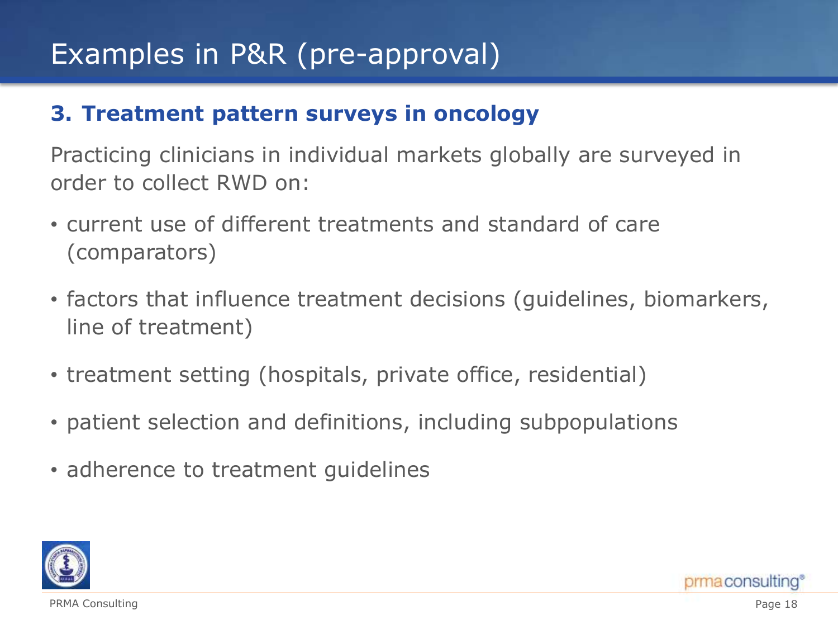# Examples in P&R (pre-approval)

#### **3. Treatment pattern surveys in oncology**

Practicing clinicians in individual markets globally are surveyed in order to collect RWD on:

- current use of different treatments and standard of care (comparators)
- factors that influence treatment decisions (guidelines, biomarkers, line of treatment)
- treatment setting (hospitals, private office, residential)
- patient selection and definitions, including subpopulations
- adherence to treatment guidelines



PRMA Consulting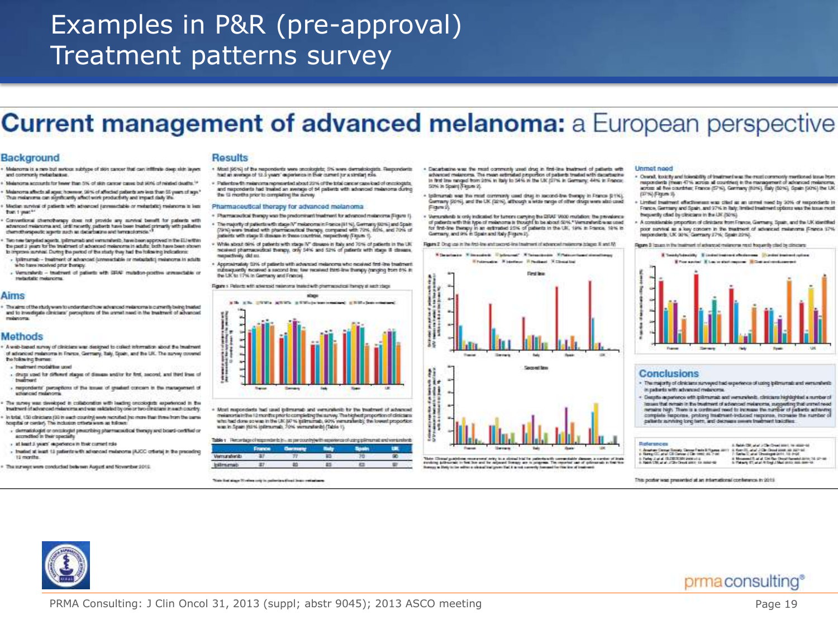## Examples in P&R (pre-approval) Treatment patterns survey

#### **Current management of advanced melanoma:** a European perspective

#### **Background**

- Melanoma is a new but serious subtype of sion cancer that can infiltrate deep side layers. and commonly metal-bative.
- Missions was accounted for bease than 5% of still research instead in a substitute develope 18 Melancyra affects all apez however, 38% of affected patients are less than 55 years of ape."
- This make one of significantly affect with productivity and impact daily life. Median survival of patients with adversed (annexedable or metapholic) melanoma is less
- than 1 year."
- Conventional chemotherapy does not provide any survival benefit for paleets with a<br>advanced makesons and, until mostly, patteria han bose trained primarily with pallative<br>chemotherapeutic agents such as decarbatine and te
- Two new fargeted agents, tplimumab and versuralnels, have been approved in the ELI within The most is severe for the insufrment of advanced maispropres in actuals: both have been aboven to improve survival. During the period of the study they had the tolicateric indications:
- lpilmumab treatment of advanced (unmerclable or metaplatic) melations in solution who have received prior therapy
- Verschieds tradment of patients with SRAP mutation-positive annuactable or trade date makercine

#### Aims

The aims of the chick were to understand how advanced measureme to currently being traded and to investigate circulate' perceptions of the armet need in the treatment of advanced.

#### Methods

- A web-based survey of clinicians was designed to collect information about the treatment of advanced realatoms in France, Germany, Italy, Spain, and the UK. The survey covered the following themes.
- Instruct model for use
- drugs used for different stages of disease and/or for first, ascored, and third lines of **Insurance** - respondents' perceptions of the torues of greatest concern in the management of
- schonced make one The moves was developed in collaboration with leading procedures experienced in the
- treatment of advanced melanoma and was validated by one or two climicians in each country. In total, 150 circulars (30 to each country) were recruited (no more than three from the came
- hospital or center). The inclusion orthers were as follows: . dematisioglet or creatioglet prescribing pharmaceutical therapy and board-certified or
- accredited in their opecially - at least 3 years' experience in their current role.
- traited at least 13 patients with advanced malanoma (AJCC) criterial in the preceding 12 months
- The surveys were conducted between August and November 2012

#### Results

- . Most (40%) of the respondents were snookiglatic, 3% were derrostologists. Respondents had an average of 12.5 years' experience in their current for a similari role. . Detecting th materials recommended shout 20% of the total care or may be did not should
- and naporderis had treated an awhips of 64 patients with advanced measures during the 13 months prior to completing the survey

#### Pharmaceutical therapy for advanced melanoma

- Pharmacautical thirapy was the predominant treatment for advanced meteorona (Figure 1).
- The majority of patients with stage W melancemain France (81%), Germany (02%) and Spain. (79%) ware treated with pharmaceutical therapy, compared with 70%, 10%, and 70% of patients with stage it doware in these countries, nespectively (Figure 1).
- · While about third, of patients with stage 3/1 diseases in take and 70% of patients in the UK nosived pharmaceutical therapy, only 54% and 52% of patients with stage ill-closess. mepactively. did su.
- . Approximately Striv of patients with advanced melancing who noveled first-line treatment subsideredly mostered a second free few received third-line thereby (ranging trom 6% as the LIK to 17% in Germany and Frances



. Most responderts had used iplimumab and versuralistic for the treatment of advanced createments in the 12 months prior to completing the survey. The bighest proportion of clisicisms<br>who had done so was in the UK (AP to infirmanab, 90% were railwids) the lowest proportion was in Span (63% iplimumab, 70% versunderib) (Table 1).

|               | Table 1 Temavings of exponder to it is an own travely with exponence of using plimarval and versionlent |  |  |
|---------------|---------------------------------------------------------------------------------------------------------|--|--|
|               | France Carmany                                                                                          |  |  |
| Vermunsbenits |                                                                                                         |  |  |
| bilmento      |                                                                                                         |  |  |

Note that single Western and the pollential of their linear contactors.

- . Decephative was the most contrastly used drug in first-line traditional of patients with adverted makerons. The magn extended properties of patients treated with departments In first line nanged from 25% in italy to 54% in the UK (37% in Germany; 44% in Frience; SON in Spaint Figure 2).
- Informate was the most comment used drug to ascend-the therapy in France (L1%). Germany (2015), and the UK (1215), attrough a wide range of other drugs were also coad Figure 25
- . Venunderib is only indicated for turnors carrying the ERAF V600 mutation: the prevalence of patients with this type of melanoma is thought to be about 50%." Versundersbreas used for first-line therapy in an extimated 20% of patients in the UK, 19% in France, 19% in Germany, and 9% in Spain and Rely (Figure 2).

Ream 2 Ong us in the frid-line entitected-line instruct of adversed makeuma biages it and M

Etwartwee Eleventric Ethiopian Ethiopiania Ethiopiania



This Chaud guideline converted why in a cloud hid in paints will commission above a newlear of built.<br>Analong Advanced in the low and in rejoined through an in program. The reported we of generals in the time<br>Analong Advan

Unmet need

- . Ownal, toxicity and tokestidity of traditional was the must commonly metitoned toxes homrespondents (mean 47% across all countries) in the management of advanced melanoma. across all five countries; France (S7%), Germany (Kö%), Taly (50%), Spain (50%) the UK (37%) Figure 3).
- Limbed treatment effectiveness was clied as an usmal read by 30% of tesponderity in Francis, Germany and Spain, and 97% in Talk, limited brashment collects was the top a most becausely clod by close any in the UK (Siris).
- A considerable proportion of clinicians from France, Germany, Spain, and the UK identified poor survival as a key concern in the treatment of advanced melanoma (France 17%) reporcions: UK 30%, Germany 27%, Spain 20%).

Ream 3 I coups in the insering infectious of malangers rest if became closely closely at the



#### **Conclusions**

- . The majority of clinicians surveyed had experience of using iplimiumati and versuratients in patients with advanced melenome.
- · Despite aspertence with iplimatrais and wemaniteds, clinicares highlighted a member of liques that remain in the brustment of advanced melanoma, suggesting that unreal read complete nepores, prolong insatment-trabased response, increase the number of patients surviving long term, and decrease seems treatment traichtes:

#### References 4. Bably City and is Clay Creational, he state-to C. Annaham Cannas St.

| a. Raya (2), and Cit Career I City need 44. First                                                   | 7: Santas C. anal Chronicopat 2011, 10: 0-24                                                                               |
|-----------------------------------------------------------------------------------------------------|----------------------------------------------------------------------------------------------------------------------------|
| 4. Parkey 12 and 12. DIRTS Mill States at 4.<br>in Halefy C.M. at al. 272kg Crews added: the number | A Mexiconal R of of Civil Ray Change (Spreaked dates 14) (21-66)<br>In Figure 27, at al. 4 Engl J. Mail debty suit downer. |
|                                                                                                     |                                                                                                                            |

This poster was presented at an international conference in 2015

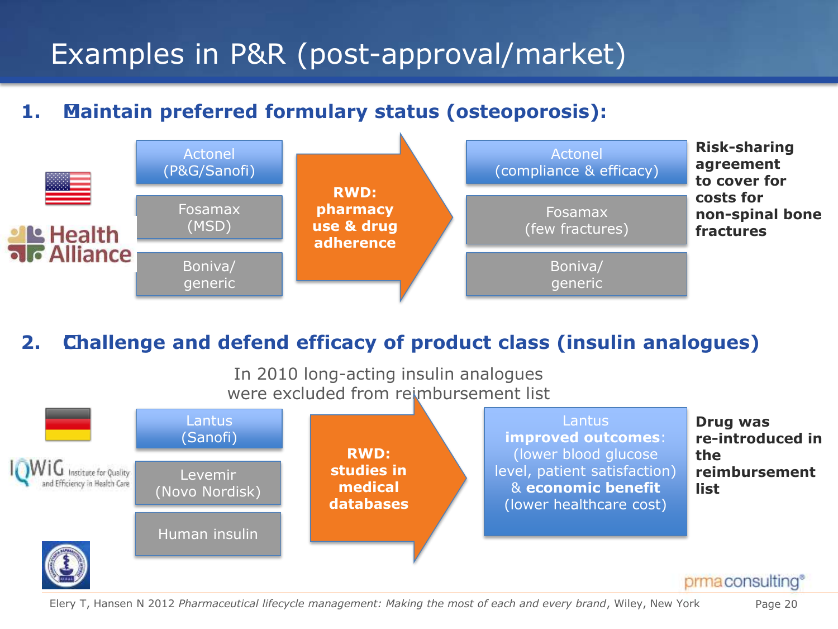# Examples in P&R (post-approval/market)

#### **1. Maintain preferred formulary status (osteoporosis):**



#### **2. Challenge and defend efficacy of product class (insulin analogues)**

In 2010 long-acting insulin analogues were excluded from reimbursement list



#### Elery T, Hansen N 2012 *Pharmaceutical lifecycle management: Making the most of each and every brand*, Wiley, New York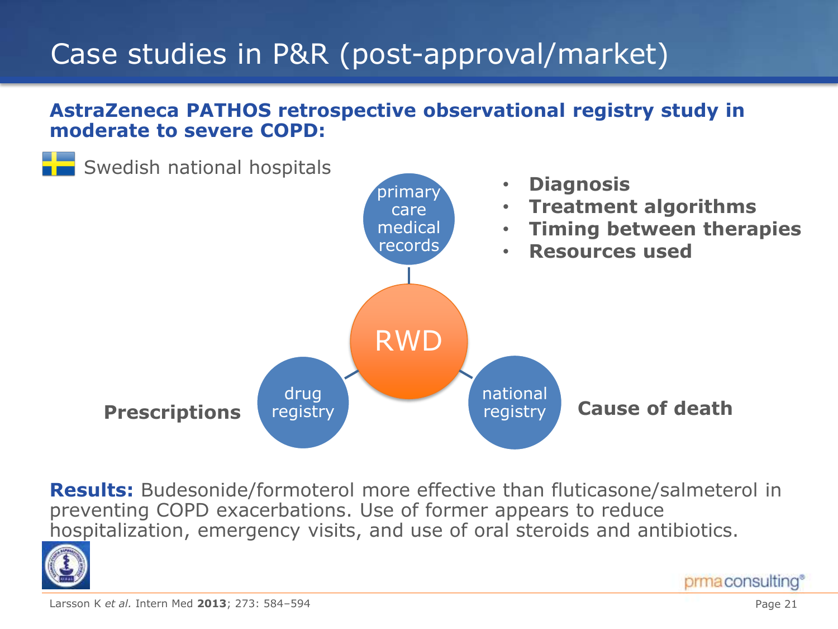# Case studies in P&R (post-approval/market)

#### **AstraZeneca PATHOS retrospective observational registry study in moderate to severe COPD:**



**Results:** Budesonide/formoterol more effective than fluticasone/salmeterol in preventing COPD exacerbations. Use of former appears to reduce hospitalization, emergency visits, and use of oral steroids and antibiotics.



prma consulting®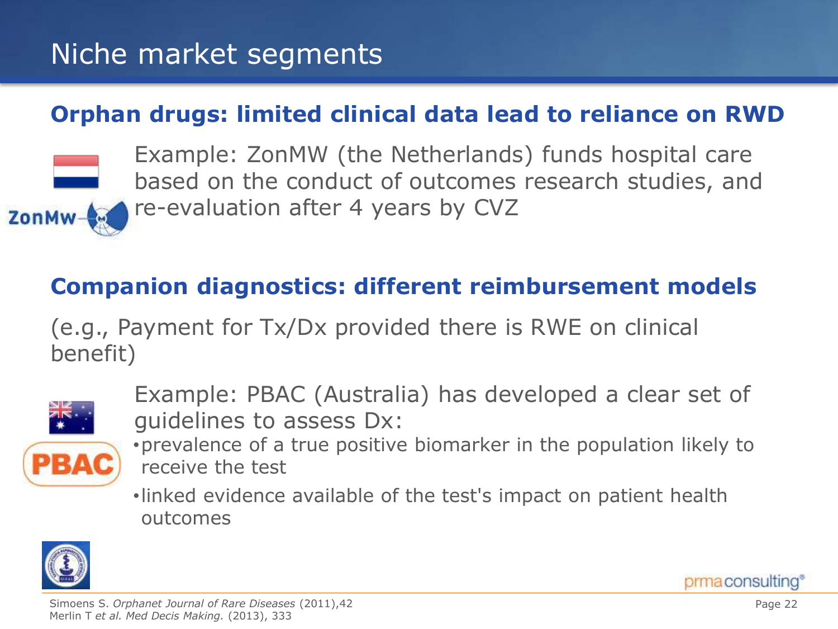# Niche market segments

#### **Orphan drugs: limited clinical data lead to reliance on RWD**



Example: ZonMW (the Netherlands) funds hospital care based on the conduct of outcomes research studies, and re-evaluation after 4 years by CVZ

### **Companion diagnostics: different reimbursement models**

(e.g., Payment for Tx/Dx provided there is RWE on clinical benefit)



- Example: PBAC (Australia) has developed a clear set of guidelines to assess Dx:
- •prevalence of a true positive biomarker in the population likely to receive the test

•linked evidence available of the test's impact on patient health outcomes

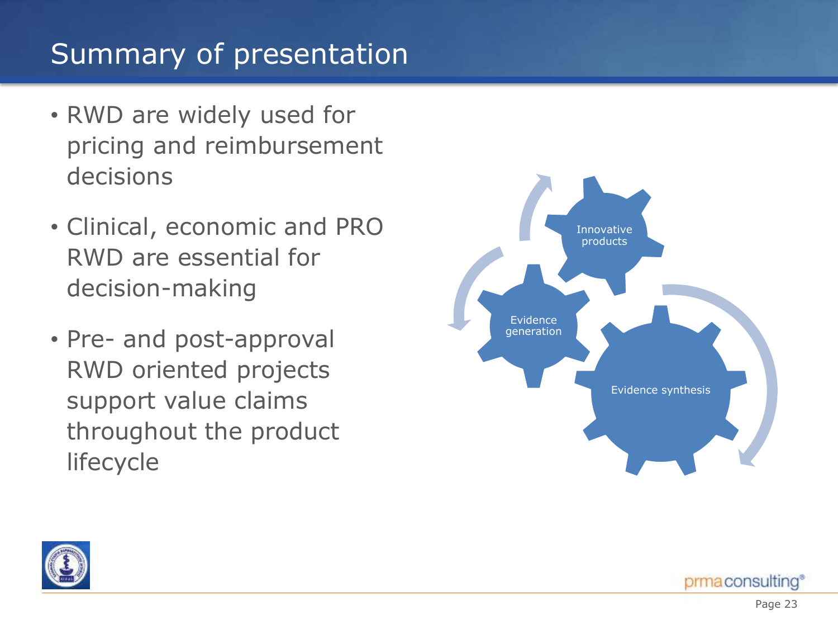# Summary of presentation

- RWD are widely used for pricing and reimbursement decisions
- Clinical, economic and PRO RWD are essential for decision-making
- Pre- and post-approval RWD oriented projects support value claims throughout the product lifecycle





prma consulting®